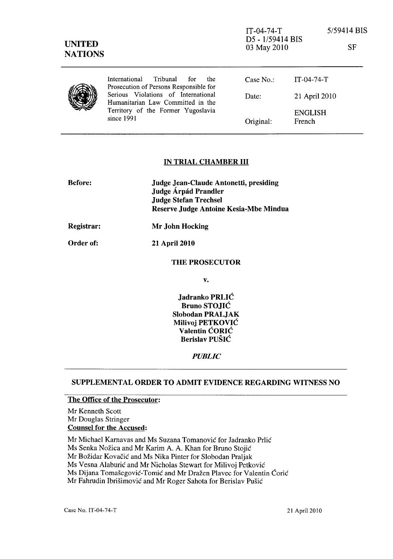| <b>UNITED</b><br><b>NATIONS</b> |                                                                                                                                | $IT-04-74-T$<br>D5 - 1/59414 BIS<br>03 May 2010 |                          | 5/59414 BIS<br><b>SF</b> |
|---------------------------------|--------------------------------------------------------------------------------------------------------------------------------|-------------------------------------------------|--------------------------|--------------------------|
|                                 | International<br>Tribunal<br>the<br>for<br>Prosecution of Persons Responsible for                                              | Case No.                                        | $IT-04-74-T$             |                          |
|                                 | Serious Violations of International<br>Humanitarian Law Committed in the<br>Territory of the Former Yugoslavia<br>since $1991$ | Date:                                           | 21 April 2010            |                          |
|                                 |                                                                                                                                | Original:                                       | <b>ENGLISH</b><br>French |                          |

### IN TRIAL CHAMBER III

| <b>Before:</b> | Judge Jean-Claude Antonetti, presiding<br>Judge Árpád Prandler<br><b>Judge Stefan Trechsel</b><br>Reserve Judge Antoine Kesia-Mbe Mindua |  |
|----------------|------------------------------------------------------------------------------------------------------------------------------------------|--|
| Registrar:     | Mr John Hocking                                                                                                                          |  |
| Order of:      | <b>21 April 2010</b>                                                                                                                     |  |
|                | <b>THE PROSECUTOR</b>                                                                                                                    |  |
|                | v.                                                                                                                                       |  |
|                |                                                                                                                                          |  |

Jadranko PRLIC Bruno STOJIC Slobodan PRALJAK Milivoj PETKOVIC Valentin CORIC Berislav PUŠIĆ

#### *PUBLIC*

### SUPPLEMENTAL ORDER TO ADMIT EVIDENCE REGARDING WITNESS NO

## The Office of the Prosecutor:

Mr Kenneth Scott Mr Douglas Stringer Counsel for the Accused:

Mr Michae1 Karnavas and Ms Suzana Tomanovic for ladranko Prlic

Ms Senka Nozica and Mr Karim A. A. Khan for Bruno Stojic

Mr Bozidar Kovacic and Ms Nika Pinter for Slobodan Praljak

Ms Vesna Alaburic and Mr Nicholas Stewart for Milivoj Petkovic

Ms Dijana Tomašegović-Tomić and Mr Dražen Plavec for Valentin Ćorić

Mr Fahrudin Ibrisimovic and Mr Roger Sahota for Berislav Pusic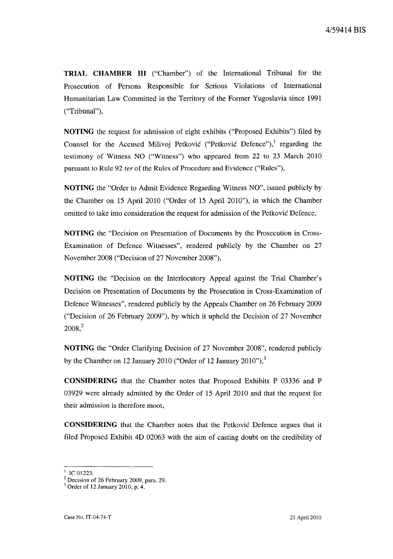**TRIAL CHAMBER III** ("Chamber") of the International Tribunal for the Prosecution of Persons Responsible for Serious Violations of International Humanitarian Law Committed in the Territory of the Former Yugoslavia since 1991 ("Tribunal"),

**NOTING** the request for admission of eight exhibits ("Proposed Exhibits") filed by Counsel for the Accused Milivoj Petković ("Petković Defence"),<sup>1</sup> regarding the testimony of Witness NO ("Witness") who appeared from 22 to 23 March 2010 pursuant to Rule 92 *ter* of the Rules of Procedure and Evidence ("Rules"),

**NOTING** the "Order to Admit Evidence Regarding Witness NO", issued publicly by the Chamber on 15 April 2010 ("Order of 15 April 2010"), in which the Chamber omitted to take into consideration the request for admission of the Petkovic Defence,

**NOTING** the "Decision on Presentation of Documents by the Prosecution in Cross-Examination of Defence Witnesses", rendered publicly by the Chamber on 27 November 2008 ("Decision of 27 November 2008"),

**NOTING** the "Decision on the Interlocutory Appeal against the Trial Chamber's Decision on Presentation of Documents by the Prosecution in Cross-Examination of Defence Witnesses", rendered publicly by the Appeals Chamber on 26 February 2009 ("Decision of 26 February 2009"), by which it upheld the Decision of 27 November 2008,2

**NOTING** the "Order Clarifying Decision of 27 November 2008", rendered publicly by the Chamber on 12 January 2010 ("Order of 12 January 2010"), $3$ 

**CONSIDERING** that the Chamber notes that Proposed Exhibits P 03336 and P 03929 were already admitted by the Order of 15 April 2010 and that the request for their admission is therefore moot,

**CONSIDERING** that the Chamber notes that the Petkovic Defence argues that it filed Proposed Exhibit 4D 02063 with the aim of casting doubt on the credibility of

 $^{1}$  IC 01223.

 $2$  Decision of 26 February 2009, para. 29.

 $3$  Order of 12 January 2010, p. 4.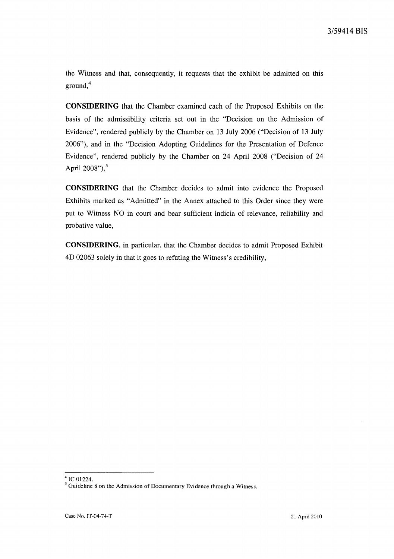the Witness and that, consequently, it requests that the exhibit be admitted on this ground.<sup>4</sup>

**CONSIDERING** that the Chamber examined each of the Proposed Exhibits on the basis of the admissibility criteria set out in the "Decision on the Admission of Evidence", rendered publicly by the Chamber on 13 July 2006 ("Decision of 13 July 2006"), and in the "Decision Adopting Guidelines for the Presentation of Defence Evidence", rendered publicly by the Chamber on 24 April 2008 ("Decision of 24 April  $2008"$ ),  $5$ 

**CONSIDERING** that the Chamber decides to admit into evidence the Proposed Exhibits marked as "Admitted" in the Annex attached to this Order since they were put to Witness NO in court and bear sufficient indicia of relevance, reliability and probative value,

**CONSIDERING,** in particular, that the Chamber decides to admit Proposed Exhibit 4D 02063 solely in that it goes to refuting the Witness's credibility,

<sup>4</sup> le 01224.

<sup>&</sup>lt;sup>5</sup> Guideline 8 on the Admission of Documentary Evidence through a Witness.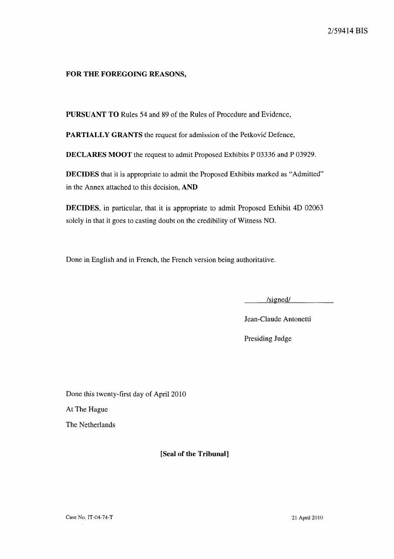### FOR THE FOREGOING REASONS,

PURSUANT TO Rules 54 and 89 of the Rules of Procedure and Evidence,

PARTIALLY GRANTS the request for admission of the Petković Defence,

DECLARES MOOT the request to admit Proposed Exhibits P 03336 and P 03929.

DECIDES that it is appropriate to admit the Proposed Exhibits marked as "Admitted" in the Annex attached to this decision, AND

DECIDES, in particular, that it is appropriate to admit Proposed Exhibit 4D 02063 solely in that it goes to casting doubt on the credibility of Witness NO.

Done in English and in French, the French version being authoritative.

/signed/

Jean-Claude Antonetti

Presiding Judge

Done this twenty-first day of April 2010 At The Hague The Netherlands

[Seal of the Tribunal]